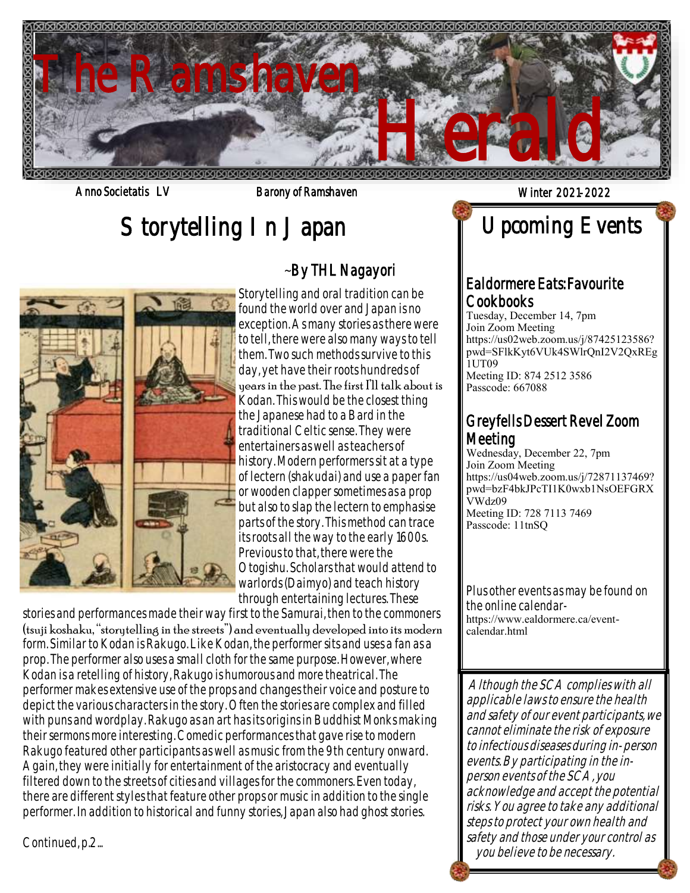

Anno Societatis LV Barony of Ramshaven and Winter 2021-2022

# Storytelling In Japan



# ~By THL Nagayori

Storytelling and oral tradition can be found the world over and Japan is no exception. As many stories as there were to tell, there were also many ways to tell them. Two such methods survive to this day, yet have their roots hundreds of years in the past. The first I'll talk about is Kodan. This would be the closest thing the Japanese had to a Bard in the traditional Celtic sense. They were entertainers as well as teachers of history. Modern performers sit at a type of lectern (shakudai) and use a paper fan or wooden clapper sometimes as a prop but also to slap the lectern to emphasise parts of the story. This method can trace its roots all the way to the early 1600s. Previous to that, there were the Otogishu. Scholars that would attend to warlords (Daimyo) and teach history through entertaining lectures. These

 stories and performances made their way first to the Samurai, then to the commoners (tsuji koshaku, "storytelling in the streets") and eventually developed into its modern form. Similar to Kodan is Rakugo. Like Kodan, the performer sits and uses a fan as a prop. The performer also uses a small cloth for the same purpose. However, where Kodan is a retelling of history, Rakugo is humorous and more theatrical. The performer makes extensive use of the props and changes their voice and posture to depict the various characters in the story. Often the stories are complex and filled with puns and wordplay. Rakugo as an art has its origins in Buddhist Monks making their sermons more interesting. Comedic performances that gave rise to modern Rakugo featured other participants as well as music from the 9th century onward. Again, they were initially for entertainment of the aristocracy and eventually filtered down to the streets of cities and villages for the commoners. Even today, there are different styles that feature other props or music in addition to the single performer. In addition to historical and funny stories, Japan also had ghost stories.

Continued, p.2...

Cookbooks Tuesday, December 14, 7pm Join Zoom Meeting https://us02web.zoom.us/j/87425123586? pwd=SFlkKyt6VUk4SWlrQnI2V2QxREg 1UT09 Meeting ID: 874 2512 3586 Passcode: 667088

Ealdormere Eats: Favourite

Upcoming Events

# Greyfells Dessert Revel Zoom Meeting

Wednesday, December 22, 7pm Join Zoom Meeting https://us04web.zoom.us/j/72871137469? pwd=bzF4bkJPcTI1K0wxb1NsOEFGRX VWdz09 Meeting ID: 728 7113 7469 Passcode: 11tnSQ

Plus other events as may be found on the online calendarhttps://www.ealdormere.ca/eventcalendar.html

Although the SCA complies with all applicable laws to ensure the health and safety of our event participants, we cannot eliminate the risk of exposure to infectious diseases during in-person events. By participating in the inperson events of the SCA, you acknowledge and accept the potential risks. You agree to take any additional steps to protect your own health and safety and those under your control as you believe to be necessary.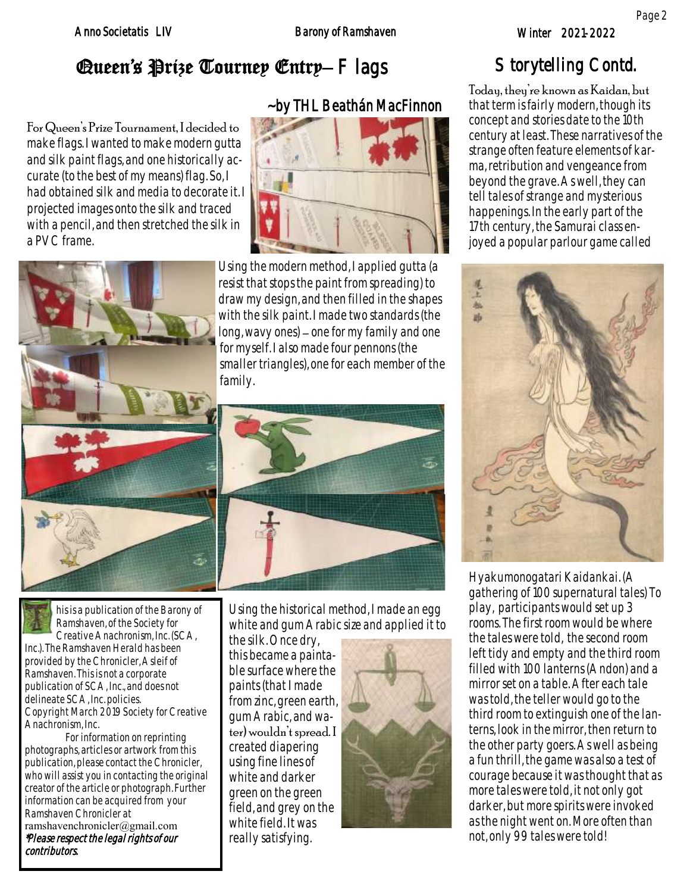# Queen's Prize Tourney Entry–  $\vdash$  lags

# ~by THL Beathán MacFinnon

For Queen's Prize Tournament, I decided to make flags. I wanted to make modern gutta and silk paint flags, and one historically accurate (to the best of my means) flag. So, I had obtained silk and media to decorate it. I projected images onto the silk and traced with a pencil, and then stretched the silk in a PVC frame.



Using the modern method, I applied gutta (a resist that stops the paint from spreading) to draw my design, and then filled in the shapes with the silk paint. I made two standards (the long, wavy ones) – one for my family and one for myself. I also made four pennons (the smaller triangles), one for each member of the family.



his is a publication of the Barony of Ramshaven, of the Society for Creative Anachronism, Inc. (SCA, Inc.). The Ramshaven Herald has been provided by the Chronicler, Asleif of Ramshaven. This is not a corporate publication of SCA, Inc., and does not delineate SCA, Inc. policies. Copyright March 2019 Society for Creative Anachronism, Inc.

For information on reprinting photographs, articles or artwork from this publication, please contact the Chronicler, who will assist you in contacting the original creator of the article or photograph. Further information can be acquired from your Ramshaven Chronicler at ramshavenchronicler@gmail.com \*Please respect the legal rights of our contributors.

Using the historical method, I made an egg white and gum Arabic size and applied it to

the silk. Once dry, this became a paintable surface where the paints (that I made from zinc, green earth, gum Arabic, and water) wouldn't spread. I created diapering using fine lines of white and darker green on the green field, and grey on the white field. It was really satisfying.



# Storytelling Contd.

Today, they're known as Kaidan, but that term is fairly modern, though its concept and stories date to the 10th century at least. These narratives of the strange often feature elements of karma, retribution and vengeance from beyond the grave. As well, they can tell tales of strange and mysterious happenings. In the early part of the 17th century, the Samurai class enjoyed a popular parlour game called



Hyakumonogatari Kaidankai. (A gathering of 100 supernatural tales) To play, participants would set up 3 rooms. The first room would be where the tales were told, the second room left tidy and empty and the third room filled with 100 lanterns (Andon) and a mirror set on a table. After each tale was told, the teller would go to the third room to extinguish one of the lanterns, look in the mirror, then return to the other party goers. As well as being a fun thrill, the game was also a test of courage because it was thought that as more tales were told, it not only got darker, but more spirits were invoked as the night went on. More often than not, only 99 tales were told!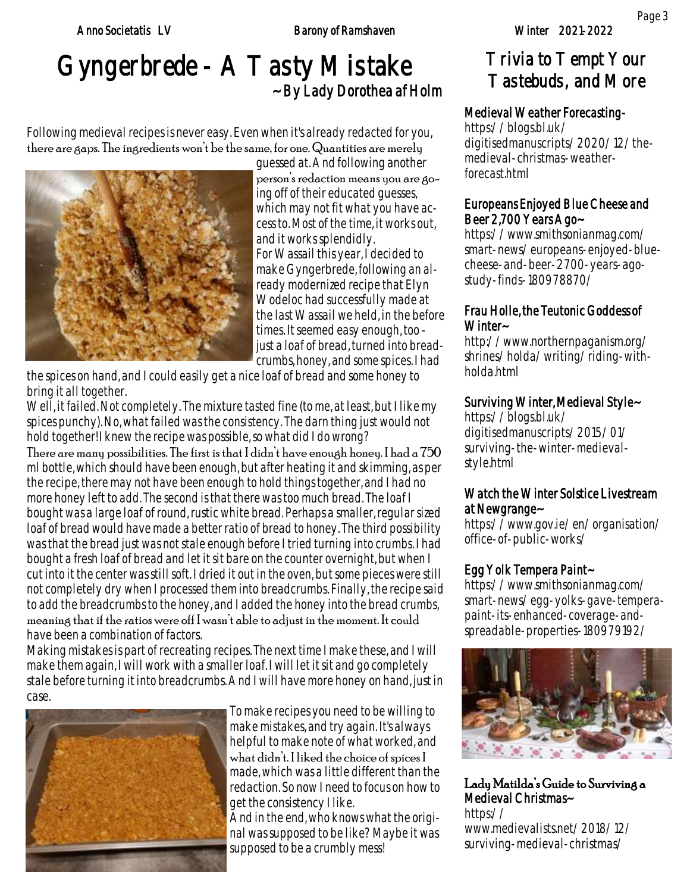### Anno Societatis LV Barony of Ramshaven

# Gyngerbrede - A Tasty Mistake ~ By Lady Dorothea af Holm

Following medieval recipes is never easy. Even when it's already redacted for you, there are gaps. The ingredients won't be the same, for one. Quantities are merely



guessed at. And following another person's redaction means you are going off of their educated guesses, which may not fit what you have access to. Most of the time, it works out, and it works splendidly. For Wassail this year, I decided to make Gyngerbrede, following an already modernized recipe that Elyn Wodeloc had successfully made at the last Wassail we held, in the before times. It seemed easy enough, too just a loaf of bread, turned into breadcrumbs, honey, and some spices. I had

the spices on hand, and I could easily get a nice loaf of bread and some honey to bring it all together.

Well, it failed. Not completely. The mixture tasted fine (to me, at least, but I like my spices punchy). No, what failed was the consistency. The darn thing just would not hold together! I knew the recipe was possible, so what did I do wrong?

There are many possibilities. The first is that I didn't have enough honey. I had a 750 ml bottle, which should have been enough, but after heating it and skimming, as per the recipe, there may not have been enough to hold things together, and I had no more honey left to add. The second is that there was too much bread. The loaf I bought was a large loaf of round, rustic white bread. Perhaps a smaller, regular sized loaf of bread would have made a better ratio of bread to honey. The third possibility was that the bread just was not stale enough before I tried turning into crumbs. I had bought a fresh loaf of bread and let it sit bare on the counter overnight, but when I cut into it the center was still soft. I dried it out in the oven, but some pieces were still not completely dry when I processed them into breadcrumbs. Finally, the recipe said to add the breadcrumbs to the honey, and I added the honey into the bread crumbs, meaning that if the ratios were off I wasn't able to adjust in the moment. It could have been a combination of factors.

Making mistakes is part of recreating recipes. The next time I make these, and I will make them again, I will work with a smaller loaf. I will let it sit and go completely stale before turning it into breadcrumbs. And I will have more honey on hand, just in case.



To make recipes you need to be willing to make mistakes, and try again. It's always helpful to make note of what worked, and what didn't. I liked the choice of spices I made, which was a little different than the redaction. So now I need to focus on how to get the consistency I like. And in the end, who knows what the original was supposed to be like? Maybe it was supposed to be a crumbly mess!

# Trivia to Tempt Your Tastebuds, and More

## Medieval Weather Forecasting-

https://blogs.bl.uk/ digitisedmanuscripts/2020/12/themedieval-christmas-weatherforecast.html

## Europeans Enjoyed Blue Cheese and Beer 2,700 Years Ago~

https://www.smithsonianmag.com/ smart-news/europeans-enjoyed-bluecheese-and-beer-2700-years-agostudy-finds-180978870/

### Frau Holle, the Teutonic Goddess of Winter~

http://www.northernpaganism.org/ shrines/holda/writing/riding-withholda.html

## Surviving Winter, Medieval Style~

https://blogs.bl.uk/ digitisedmanuscripts/2015/01/ surviving-the-winter-medievalstyle.html

### Watch the Winter Solstice Livestream at Newgrange~

https://www.gov.ie/en/organisation/ office-of-public-works/

# Egg Yolk Tempera Paint~

https://www.smithsonianmag.com/ smart-news/egg-yolks-gave-temperapaint-its-enhanced-coverage-andspreadable-properties-180979192/



Lady Matilda's Guide to Surviving a Medieval Christmas~ https:// www.medievalists.net/2018/12/ surviving-medieval-christmas/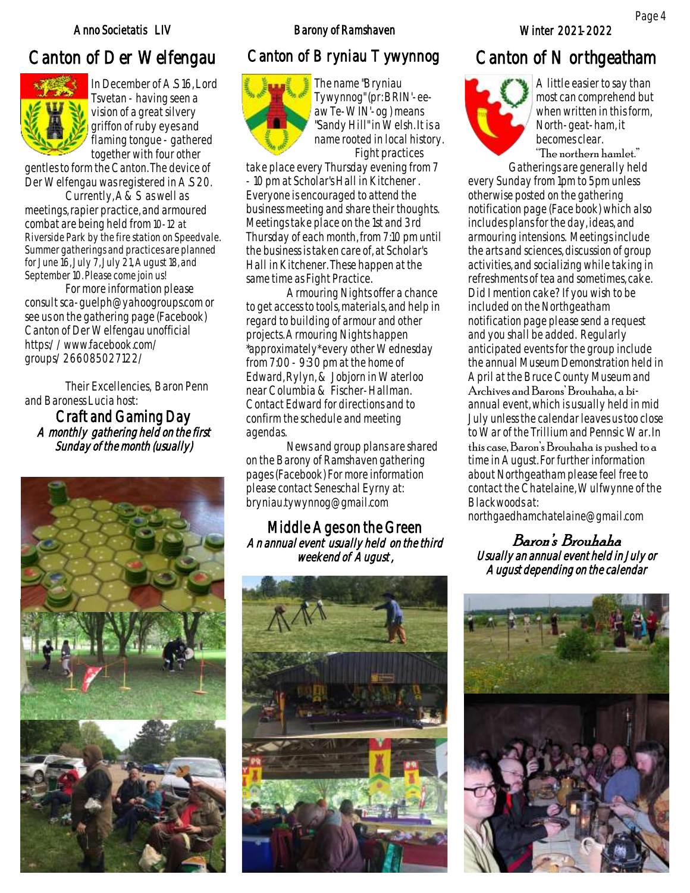### Anno Societatis LIV and Barony of Ramshaven Minter 2021-2022

# Canton of Der Welfengau Canton of Bryniau Tywynnog Canton of Northgeatham



In December of A.S 16, Lord Tsvetan - having seen a vision of a great silvery griffon of ruby eyes and flaming tongue - gathered together with four other

gentles to form the Canton. The device of Der Welfengau was registered in A.S 20.

Currently, A&S as well as meetings, rapier practice, and armoured combat are being held from 10-12 at Riverside Park by the fire station on Speedvale. Summer gatherings and practices are planned for June 16, July 7, July 21, August 18, and September 10. Please come join us!

For more information please consult sca-guelph@yahoogroups.com or see us on the gathering page (Facebook) Canton of Der Welfengau unofficial https://www.facebook.com/ groups/266085027122/

Their Excellencies, Baron Penn and Baroness Lucia host:

Craft and Gaming Day A monthly gathering held on the first Sunday of the month (usually)





The name "Bryniau Tywynnog" (pr: BRIN'-eeaw Te-WIN'-og ) means "Sandy Hill" in Welsh. It is a name rooted in local history. Fight practices

take place every Thursday evening from 7 - 10 pm at Scholar's Hall in Kitchener . Everyone is encouraged to attend the business meeting and share their thoughts. Meetings take place on the 1st and 3rd Thursday of each month, from 7:10 pm until the business is taken care of, at Scholar's Hall in Kitchener. These happen at the same time as Fight Practice.

Armouring Nights offer a chance to get access to tools, materials, and help in regard to building of armour and other projects. Armouring Nights happen \*approximately\* every other Wednesday from 7:00 - 9:30 pm at the home of Edward, Rylyn, & Jobjorn in Waterloo near Columbia & Fischer-Hallman. Contact Edward for directions and to confirm the schedule and meeting agendas.

News and group plans are shared on the Barony of Ramshaven gathering pages (Facebook) For more information please contact Seneschal Eyrny at: bryniau.tywynnog@gmail.com

### Middle Ages on the Green An annual event usually held on the third weekend of August,





A little easier to say than most can comprehend but when written in this form, North-geat-ham, it becomes clear.

"The northern hamlet."

Gatherings are generally held every Sunday from 1pm to 5pm unless otherwise posted on the gathering notification page (Face book) which also includes plans for the day, ideas, and armouring intensions. Meetings include the arts and sciences, discussion of group activities, and socializing while taking in refreshments of tea and sometimes, cake. Did I mention cake? If you wish to be included on the Northgeatham notification page please send a request and you shall be added. Regularly anticipated events for the group include the annual Museum Demonstration held in April at the Bruce County Museum and

Archives and Barons' Brouhaha, a biannual event, which is usually held in mid July unless the calendar leaves us too close to War of the Trillium and Pennsic War. In

this case, Baron's Brouhaha is pushed to a time in August. For further information about Northgeatham please feel free to contact the Chatelaine, Wulfwynne of the Blackwoods at:

northgaedhamchatelaine@gmail.com

### Baron's Brouhaha Usually an annual event held in July or August depending on the calendar

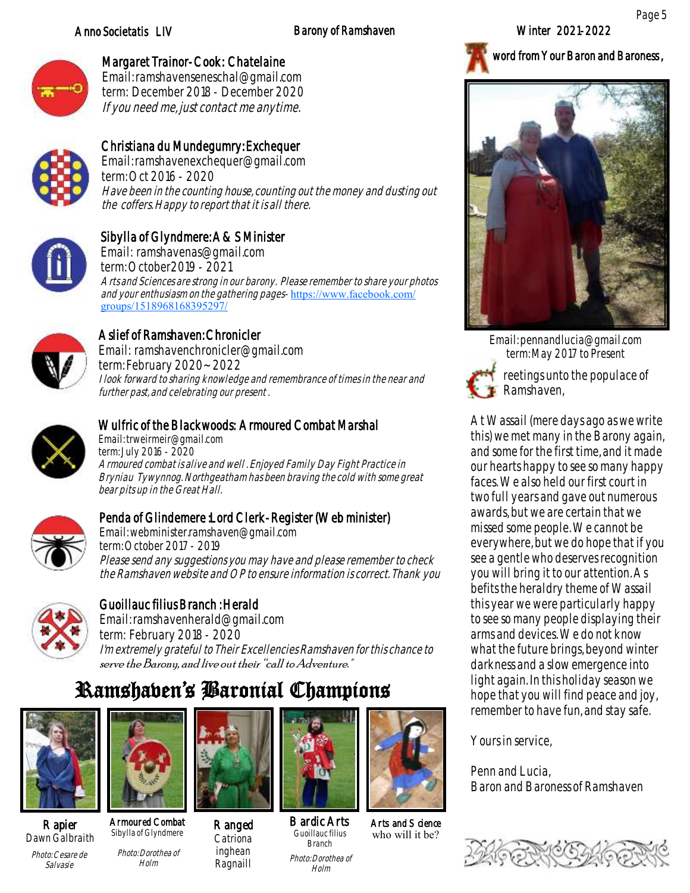### Anno Societatis LIV Barony of Ramshaven

Winter 2021-2022

word from Your Baron and Baroness ,



## Margaret Trainor-Cook: Chatelaine

Email: ramshavenseneschal@gmail.com term: December 2018 - December 2020 If you need me, just contact me anytime.



## Christiana du Mundegumry: Exchequer

Email: ramshavenexchequer@gmail.com term: Oct 2016 - 2020 Have been in the counting house, counting out the money and dusting out the coffers. Happy to report that it is all there.



# Sibylla of Glyndmere: A&S Minister

Email: ramshavenas@gmail.com term: October2019 - 2021 Arts and Sciences are strong in our barony. Please remember to share your photos and your enthusiasm on the gathering pages- [https://www.facebook.com/](https://www.facebook.com/groups/1518968168395297/) [groups/1518968168395297/](https://www.facebook.com/groups/1518968168395297/)



### Aslief of Ramshaven: Chronicler Email: ramshavenchronicler@gmail.com

term: February 2020~ 2022 I look forward to sharing knowledge and remembrance of times in the near and further past, and celebrating our present .



## Wulfric of the Blackwoods: Armoured Combat Marshal

Email: trweirmeir@gmail.com term: July 2016 - 2020 Armoured combat is alive and well . Enjoyed Family Day Fight Practice in Bryniau Tywynnog. Northgeatham has been braving the cold with some great bear pits up in the Great Hall.



### Penda of Glindemere :Lord Clerk-Register (Web minister)

Email: webminister.ramshaven@gmail.com term: October 2017 - 2019 Please send any suggestions you may have and please remember to check the Ramshaven website and OP to ensure information is correct. Thank you



# Guoillauc filius Branch : Herald

Email: ramshavenherald@gmail.com term: February 2018 - 2020 I'm extremely grateful to Their Excellencies Ramshaven for this chance to serve the Barony, and live out their "call to Adventure."

# Ramshaven's Baronial Champions

Ranged Catriona inghean Ragnaill



Rapier Dawn Galbraith Photo: Cesare de Salvasie



Armoured Combat Sibylla of Glyndmere Photo: Dorothea of

Holm



Bardic Arts Guoillauc filius Branch Photo: Dorothea of Holm



Arts and Science who will it be?



Email: pennandlucia@gmail.com term: May 2017 to Present



reetings unto the populace of Ramshaven,

At Wassail (mere days ago as we write this) we met many in the Barony again, and some for the first time, and it made our hearts happy to see so many happy faces. We also held our first court in two full years and gave out numerous awards, but we are certain that we missed some people. We cannot be everywhere, but we do hope that if you see a gentle who deserves recognition you will bring it to our attention. As befits the heraldry theme of Wassail this year we were particularly happy to see so many people displaying their arms and devices. We do not know what the future brings, beyond winter darkness and a slow emergence into light again. In this holiday season we hope that you will find peace and joy, remember to have fun, and stay safe.

Yours in service,

Penn and Lucia, Baron and Baroness of Ramshaven